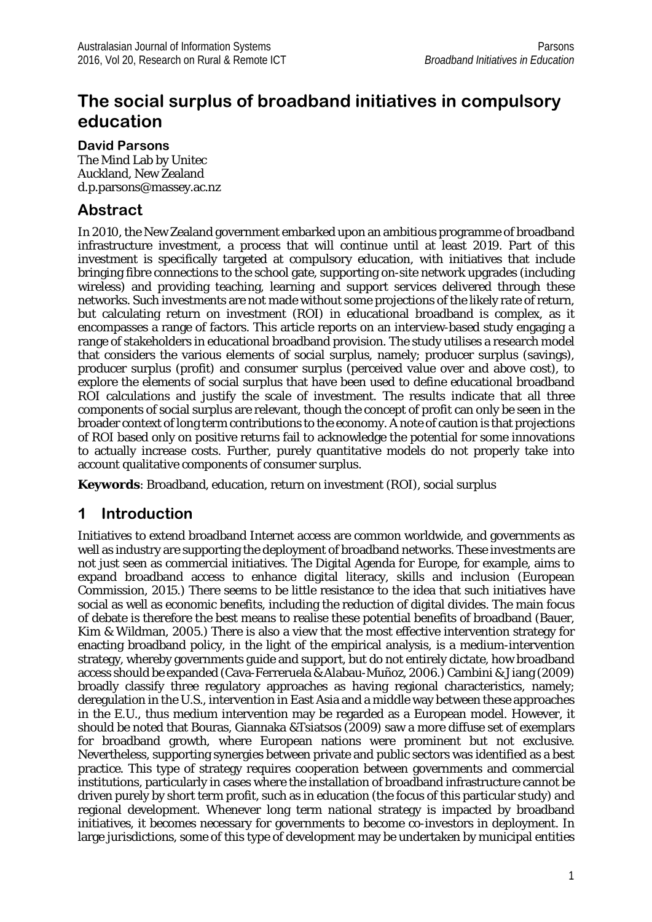# **The social surplus of broadband initiatives in compulsory education**

**David Parsons** The Mind Lab by Unitec Auckland, New Zealand d.p.parsons@massey.ac.nz

## **Abstract**

In 2010, the New Zealand government embarked upon an ambitious programme of broadband infrastructure investment, a process that will continue until at least 2019. Part of this investment is specifically targeted at compulsory education, with initiatives that include bringing fibre connections to the school gate, supporting on-site network upgrades (including wireless) and providing teaching, learning and support services delivered through these networks. Such investments are not made without some projections of the likely rate of return, but calculating return on investment (ROI) in educational broadband is complex, as it encompasses a range of factors. This article reports on an interview-based study engaging a range of stakeholders in educational broadband provision. The study utilises a research model that considers the various elements of social surplus, namely; producer surplus (savings), producer surplus (profit) and consumer surplus (perceived value over and above cost), to explore the elements of social surplus that have been used to define educational broadband ROI calculations and justify the scale of investment. The results indicate that all three components of social surplus are relevant, though the concept of profit can only be seen in the broader context of long term contributions to the economy. A note of caution is that projections of ROI based only on positive returns fail to acknowledge the potential for some innovations to actually increase costs. Further, purely quantitative models do not properly take into account qualitative components of consumer surplus.

**Keywords**: Broadband, education, return on investment (ROI), social surplus

## **1 Introduction**

Initiatives to extend broadband Internet access are common worldwide, and governments as well as industry are supporting the deployment of broadband networks. These investments are not just seen as commercial initiatives. The Digital Agenda for Europe, for example, aims to expand broadband access to enhance digital literacy, skills and inclusion (European Commission, 2015.) There seems to be little resistance to the idea that such initiatives have social as well as economic benefits, including the reduction of digital divides. The main focus of debate is therefore the best means to realise these potential benefits of broadband (Bauer, Kim & Wildman, 2005.) There is also a view that the most effective intervention strategy for enacting broadband policy, in the light of the empirical analysis, is a medium-intervention strategy, whereby governments guide and support, but do not entirely dictate, how broadband access should be expanded (Cava-Ferreruela & Alabau-Muñoz, 2006.) Cambini & Jiang (2009) broadly classify three regulatory approaches as having regional characteristics, namely; deregulation in the U.S., intervention in East Asia and a middle way between these approaches in the E.U., thus medium intervention may be regarded as a European model. However, it should be noted that Bouras, Giannaka &Tsiatsos (2009) saw a more diffuse set of exemplars for broadband growth, where European nations were prominent but not exclusive. Nevertheless, supporting synergies between private and public sectors was identified as a best practice. This type of strategy requires cooperation between governments and commercial institutions, particularly in cases where the installation of broadband infrastructure cannot be driven purely by short term profit, such as in education (the focus of this particular study) and regional development. Whenever long term national strategy is impacted by broadband initiatives, it becomes necessary for governments to become co-investors in deployment. In large jurisdictions, some of this type of development may be undertaken by municipal entities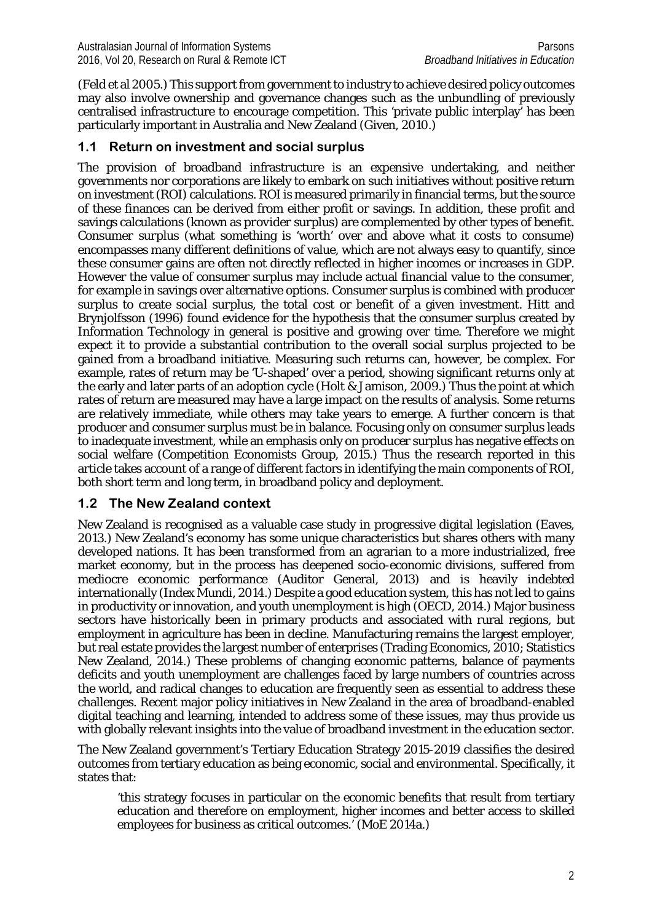(Feld et al 2005.) This support from government to industry to achieve desired policy outcomes may also involve ownership and governance changes such as the unbundling of previously centralised infrastructure to encourage competition. This 'private public interplay' has been particularly important in Australia and New Zealand (Given, 2010.)

### **1.1 Return on investment and social surplus**

The provision of broadband infrastructure is an expensive undertaking, and neither governments nor corporations are likely to embark on such initiatives without positive return on investment (ROI) calculations. ROI is measured primarily in financial terms, but the source of these finances can be derived from either profit or savings. In addition, these profit and savings calculations (known as *provider surplus*) are complemented by other types of benefit. *Consumer surplus* (what something is 'worth' over and above what it costs to consume) encompasses many different definitions of value, which are not always easy to quantify, since these consumer gains are often not directly reflected in higher incomes or increases in GDP. However the value of consumer surplus may include actual financial value to the consumer, for example in savings over alternative options. Consumer surplus is combined with producer surplus to create *social surplus*, the total cost or benefit of a given investment. Hitt and Brynjolfsson (1996) found evidence for the hypothesis that the consumer surplus created by Information Technology in general is positive and growing over time. Therefore we might expect it to provide a substantial contribution to the overall social surplus projected to be gained from a broadband initiative. Measuring such returns can, however, be complex. For example, rates of return may be 'U-shaped' over a period, showing significant returns only at the early and later parts of an adoption cycle (Holt & Jamison, 2009.) Thus the point at which rates of return are measured may have a large impact on the results of analysis. Some returns are relatively immediate, while others may take years to emerge. A further concern is that producer and consumer surplus must be in balance. Focusing only on consumer surplus leads to inadequate investment, while an emphasis only on producer surplus has negative effects on social welfare (Competition Economists Group, 2015.) Thus the research reported in this article takes account of a range of different factors in identifying the main components of ROI, both short term and long term, in broadband policy and deployment.

### **1.2 The New Zealand context**

New Zealand is recognised as a valuable case study in progressive digital legislation (Eaves, 2013.) New Zealand's economy has some unique characteristics but shares others with many developed nations. It has been transformed from an agrarian to a more industrialized, free market economy, but in the process has deepened socio-economic divisions, suffered from mediocre economic performance (Auditor General, 2013) and is heavily indebted internationally (Index Mundi, 2014.) Despite a good education system, this has not led to gains in productivity or innovation, and youth unemployment is high (OECD, 2014.) Major business sectors have historically been in primary products and associated with rural regions, but employment in agriculture has been in decline. Manufacturing remains the largest employer, but real estate provides the largest number of enterprises (Trading Economics, 2010; Statistics New Zealand, 2014.) These problems of changing economic patterns, balance of payments deficits and youth unemployment are challenges faced by large numbers of countries across the world, and radical changes to education are frequently seen as essential to address these challenges. Recent major policy initiatives in New Zealand in the area of broadband-enabled digital teaching and learning, intended to address some of these issues, may thus provide us with globally relevant insights into the value of broadband investment in the education sector.

The New Zealand government's Tertiary Education Strategy 2015-2019 classifies the desired outcomes from tertiary education as being economic, social and environmental. Specifically, it states that:

'this strategy focuses in particular on the economic benefits that result from tertiary education and therefore on employment, higher incomes and better access to skilled employees for business as critical outcomes.' (MoE 2014a.)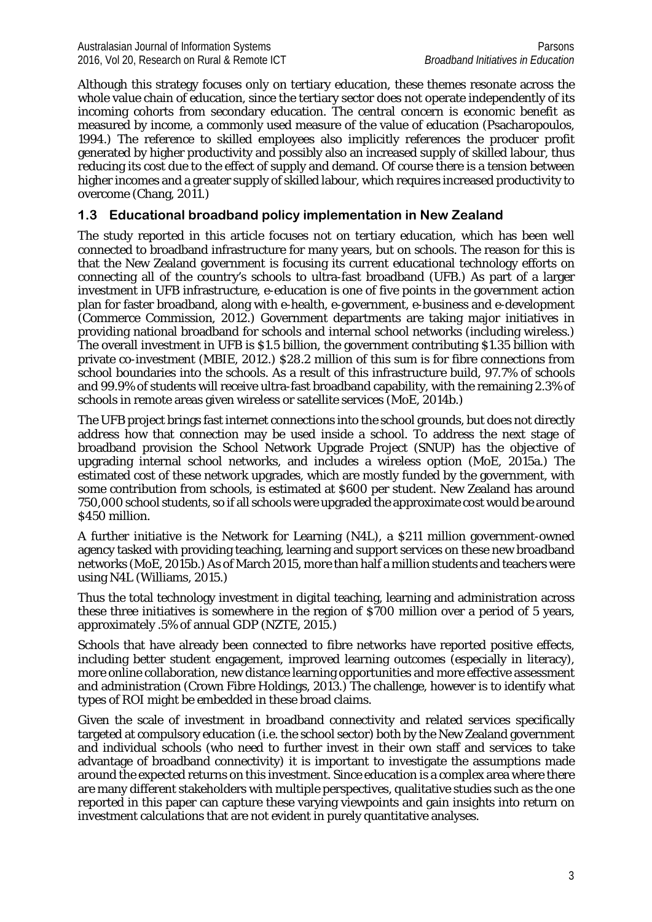Although this strategy focuses only on tertiary education, these themes resonate across the whole value chain of education, since the tertiary sector does not operate independently of its incoming cohorts from secondary education. The central concern is economic benefit as measured by income, a commonly used measure of the value of education (Psacharopoulos, 1994.) The reference to skilled employees also implicitly references the producer profit generated by higher productivity and possibly also an increased supply of skilled labour, thus reducing its cost due to the effect of supply and demand. Of course there is a tension between higher incomes and a greater supply of skilled labour, which requires increased productivity to overcome (Chang, 2011.)

### **1.3 Educational broadband policy implementation in New Zealand**

The study reported in this article focuses not on tertiary education, which has been well connected to broadband infrastructure for many years, but on schools. The reason for this is that the New Zealand government is focusing its current educational technology efforts on connecting all of the country's schools to ultra-fast broadband (UFB.) As part of a larger investment in UFB infrastructure, e-education is one of five points in the government action plan for faster broadband, along with e-health, e-government, e-business and e-development (Commerce Commission, 2012.) Government departments are taking major initiatives in providing national broadband for schools and internal school networks (including wireless.) The overall investment in UFB is \$1.5 billion, the government contributing \$1.35 billion with private co-investment (MBIE, 2012.) \$28.2 million of this sum is for fibre connections from school boundaries into the schools. As a result of this infrastructure build, 97.7% of schools and 99.9% of students will receive ultra-fast broadband capability, with the remaining 2.3% of schools in remote areas given wireless or satellite services (MoE, 2014b.)

The UFB project brings fast internet connections into the school grounds, but does not directly address how that connection may be used inside a school. To address the next stage of broadband provision the School Network Upgrade Project (SNUP) has the objective of upgrading internal school networks, and includes a wireless option (MoE, 2015a.) The estimated cost of these network upgrades, which are mostly funded by the government, with some contribution from schools, is estimated at \$600 per student. New Zealand has around 750,000 school students, so if all schools were upgraded the approximate cost would be around \$450 million.

A further initiative is the Network for Learning (N4L), a \$211 million government-owned agency tasked with providing teaching, learning and support services on these new broadband networks (MoE, 2015b.) As of March 2015, more than half a million students and teachers were using N4L (Williams, 2015.)

Thus the total technology investment in digital teaching, learning and administration across these three initiatives is somewhere in the region of \$700 million over a period of 5 years, approximately .5% of annual GDP (NZTE, 2015.)

Schools that have already been connected to fibre networks have reported positive effects, including better student engagement, improved learning outcomes (especially in literacy), more online collaboration, new distance learning opportunities and more effective assessment and administration (Crown Fibre Holdings, 2013.) The challenge, however is to identify what types of ROI might be embedded in these broad claims.

Given the scale of investment in broadband connectivity and related services specifically targeted at compulsory education (i.e. the school sector) both by the New Zealand government and individual schools (who need to further invest in their own staff and services to take advantage of broadband connectivity) it is important to investigate the assumptions made around the expected returns on this investment. Since education is a complex area where there are many different stakeholders with multiple perspectives, qualitative studies such as the one reported in this paper can capture these varying viewpoints and gain insights into return on investment calculations that are not evident in purely quantitative analyses.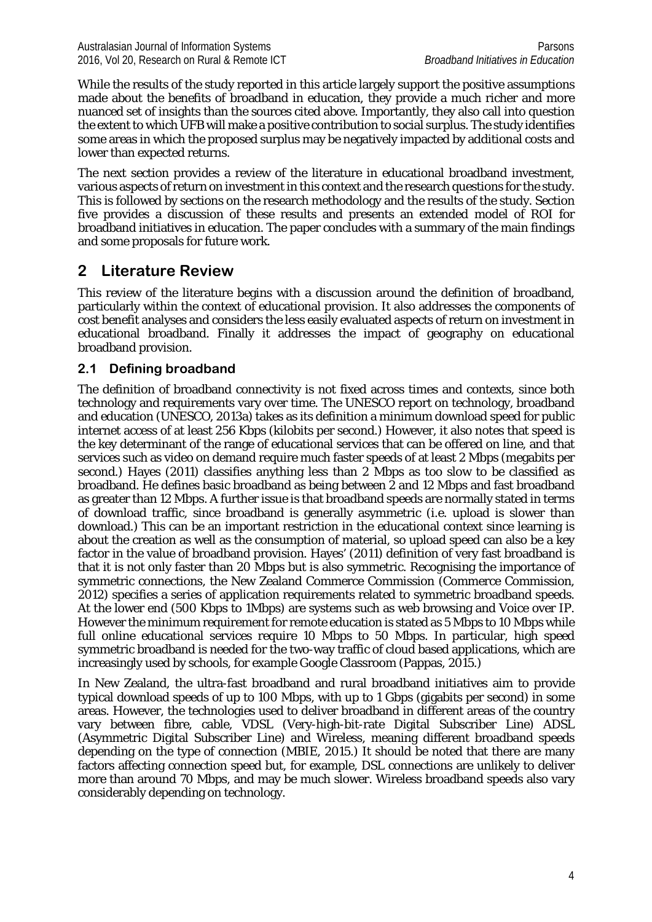While the results of the study reported in this article largely support the positive assumptions made about the benefits of broadband in education, they provide a much richer and more nuanced set of insights than the sources cited above. Importantly, they also call into question the extent to which UFB will make a positive contribution to social surplus. The study identifies some areas in which the proposed surplus may be negatively impacted by additional costs and lower than expected returns.

The next section provides a review of the literature in educational broadband investment, various aspects of return on investment in this context and the research questions for the study. This is followed by sections on the research methodology and the results of the study. Section five provides a discussion of these results and presents an extended model of ROI for broadband initiatives in education. The paper concludes with a summary of the main findings and some proposals for future work.

## **2 Literature Review**

This review of the literature begins with a discussion around the definition of broadband, particularly within the context of educational provision. It also addresses the components of cost benefit analyses and considers the less easily evaluated aspects of return on investment in educational broadband. Finally it addresses the impact of geography on educational broadband provision.

### **2.1 Defining broadband**

The definition of broadband connectivity is not fixed across times and contexts, since both technology and requirements vary over time. The UNESCO report on technology, broadband and education (UNESCO, 2013a) takes as its definition a minimum download speed for public internet access of at least 256 Kbps (kilobits per second.) However, it also notes that speed is the key determinant of the range of educational services that can be offered on line, and that services such as video on demand require much faster speeds of at least 2 Mbps (megabits per second.) Hayes (2011) classifies anything less than 2 Mbps as too slow to be classified as broadband. He defines basic broadband as being between 2 and 12 Mbps and fast broadband as greater than 12 Mbps. A further issue is that broadband speeds are normally stated in terms of download traffic, since broadband is generally asymmetric (i.e. upload is slower than download.) This can be an important restriction in the educational context since learning is about the creation as well as the consumption of material, so upload speed can also be a key factor in the value of broadband provision. Hayes' (2011) definition of very fast broadband is that it is not only faster than 20 Mbps but is also symmetric. Recognising the importance of symmetric connections, the New Zealand Commerce Commission (Commerce Commission, 2012) specifies a series of application requirements related to symmetric broadband speeds. At the lower end (500 Kbps to 1Mbps) are systems such as web browsing and Voice over IP. However the minimum requirement for remote education is stated as 5 Mbps to 10 Mbps while full online educational services require 10 Mbps to 50 Mbps. In particular, high speed symmetric broadband is needed for the two-way traffic of cloud based applications, which are increasingly used by schools, for example Google Classroom (Pappas, 2015.)

In New Zealand, the ultra-fast broadband and rural broadband initiatives aim to provide typical download speeds of up to 100 Mbps, with up to 1 Gbps (gigabits per second) in some areas. However, the technologies used to deliver broadband in different areas of the country vary between fibre, cable, VDSL (Very-high-bit-rate Digital Subscriber Line) ADSL (Asymmetric Digital Subscriber Line) and Wireless, meaning different broadband speeds depending on the type of connection (MBIE, 2015.) It should be noted that there are many factors affecting connection speed but, for example, DSL connections are unlikely to deliver more than around 70 Mbps, and may be much slower. Wireless broadband speeds also vary considerably depending on technology.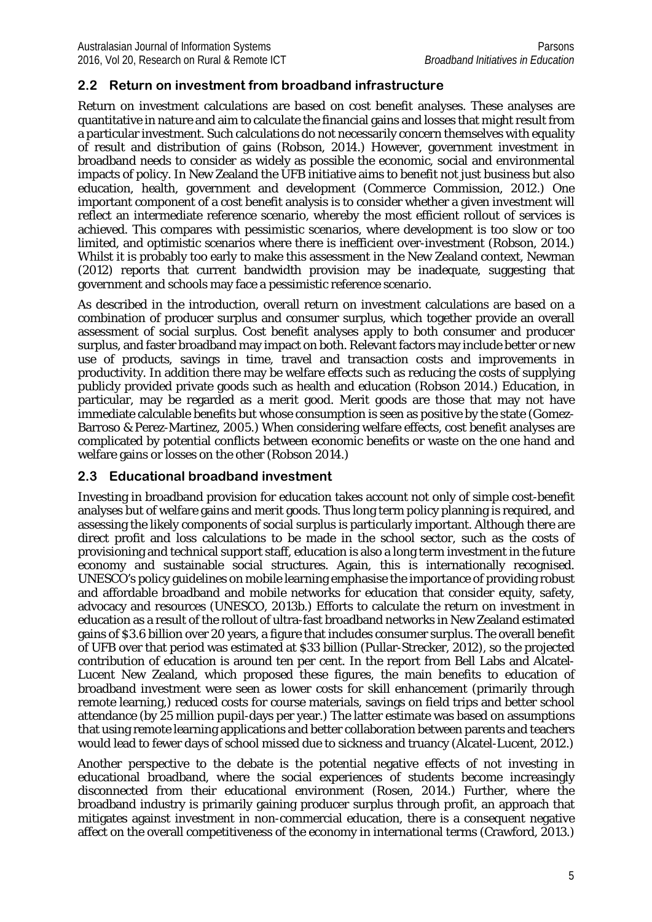### **2.2 Return on investment from broadband infrastructure**

Return on investment calculations are based on cost benefit analyses. These analyses are quantitative in nature and aim to calculate the financial gains and losses that might result from a particular investment. Such calculations do not necessarily concern themselves with equality of result and distribution of gains (Robson, 2014.) However, government investment in broadband needs to consider as widely as possible the economic, social and environmental impacts of policy. In New Zealand the UFB initiative aims to benefit not just business but also education, health, government and development (Commerce Commission, 2012.) One important component of a cost benefit analysis is to consider whether a given investment will reflect an intermediate reference scenario, whereby the most efficient rollout of services is achieved. This compares with pessimistic scenarios, where development is too slow or too limited, and optimistic scenarios where there is inefficient over-investment (Robson, 2014.) Whilst it is probably too early to make this assessment in the New Zealand context, Newman (2012) reports that current bandwidth provision may be inadequate, suggesting that government and schools may face a pessimistic reference scenario.

As described in the introduction, overall return on investment calculations are based on a combination of producer surplus and consumer surplus, which together provide an overall assessment of social surplus. Cost benefit analyses apply to both consumer and producer surplus, and faster broadband may impact on both. Relevant factors may include better or new use of products, savings in time, travel and transaction costs and improvements in productivity. In addition there may be welfare effects such as reducing the costs of supplying publicly provided private goods such as health and education (Robson 2014.) Education, in particular, may be regarded as a merit good. Merit goods are those that may not have immediate calculable benefits but whose consumption is seen as positive by the state (Gomez-Barroso & Perez-Martinez, 2005.) When considering welfare effects, cost benefit analyses are complicated by potential conflicts between economic benefits or waste on the one hand and welfare gains or losses on the other (Robson 2014.)

### **2.3 Educational broadband investment**

Investing in broadband provision for education takes account not only of simple cost-benefit analyses but of welfare gains and merit goods. Thus long term policy planning is required, and assessing the likely components of social surplus is particularly important. Although there are direct profit and loss calculations to be made in the school sector, such as the costs of provisioning and technical support staff, education is also a long term investment in the future economy and sustainable social structures. Again, this is internationally recognised. UNESCO's policy guidelines on mobile learning emphasise the importance of providing robust and affordable broadband and mobile networks for education that consider equity, safety, advocacy and resources (UNESCO, 2013b.) Efforts to calculate the return on investment in education as a result of the rollout of ultra-fast broadband networks in New Zealand estimated gains of \$3.6 billion over 20 years, a figure that includes consumer surplus. The overall benefit of UFB over that period was estimated at \$33 billion (Pullar-Strecker, 2012), so the projected contribution of education is around ten per cent. In the report from Bell Labs and Alcatel-Lucent New Zealand, which proposed these figures, the main benefits to education of broadband investment were seen as lower costs for skill enhancement (primarily through remote learning,) reduced costs for course materials, savings on field trips and better school attendance (by 25 million pupil-days per year.) The latter estimate was based on assumptions that using remote learning applications and better collaboration between parents and teachers would lead to fewer days of school missed due to sickness and truancy (Alcatel-Lucent, 2012.)

Another perspective to the debate is the potential negative effects of not investing in educational broadband, where the social experiences of students become increasingly disconnected from their educational environment (Rosen, 2014.) Further, where the broadband industry is primarily gaining producer surplus through profit, an approach that mitigates against investment in non-commercial education, there is a consequent negative affect on the overall competitiveness of the economy in international terms (Crawford, 2013.)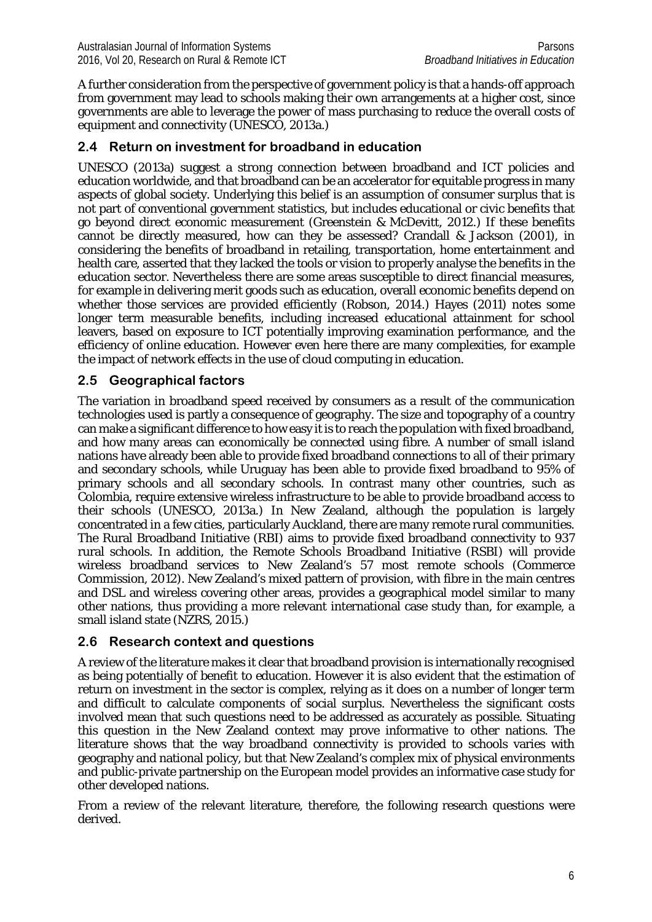A further consideration from the perspective of government policy is that a hands-off approach from government may lead to schools making their own arrangements at a higher cost, since governments are able to leverage the power of mass purchasing to reduce the overall costs of equipment and connectivity (UNESCO, 2013a.)

### **2.4 Return on investment for broadband in education**

UNESCO (2013a) suggest a strong connection between broadband and ICT policies and education worldwide, and that broadband can be an accelerator for equitable progress in many aspects of global society. Underlying this belief is an assumption of consumer surplus that is not part of conventional government statistics, but includes educational or civic benefits that go beyond direct economic measurement (Greenstein & McDevitt, 2012.) If these benefits cannot be directly measured, how can they be assessed? Crandall & Jackson (2001), in considering the benefits of broadband in retailing, transportation, home entertainment and health care, asserted that they lacked the tools or vision to properly analyse the benefits in the education sector. Nevertheless there are some areas susceptible to direct financial measures, for example in delivering merit goods such as education, overall economic benefits depend on whether those services are provided efficiently (Robson, 2014.) Hayes (2011) notes some longer term measurable benefits, including increased educational attainment for school leavers, based on exposure to ICT potentially improving examination performance, and the efficiency of online education. However even here there are many complexities, for example the impact of network effects in the use of cloud computing in education.

### **2.5 Geographical factors**

The variation in broadband speed received by consumers as a result of the communication technologies used is partly a consequence of geography. The size and topography of a country can make a significant difference to how easy it is to reach the population with fixed broadband, and how many areas can economically be connected using fibre. A number of small island nations have already been able to provide fixed broadband connections to all of their primary and secondary schools, while Uruguay has been able to provide fixed broadband to 95% of primary schools and all secondary schools. In contrast many other countries, such as Colombia, require extensive wireless infrastructure to be able to provide broadband access to their schools (UNESCO, 2013a.) In New Zealand, although the population is largely concentrated in a few cities, particularly Auckland, there are many remote rural communities. The Rural Broadband Initiative (RBI) aims to provide fixed broadband connectivity to 937 rural schools. In addition, the Remote Schools Broadband Initiative (RSBI) will provide wireless broadband services to New Zealand's 57 most remote schools (Commerce Commission, 2012). New Zealand's mixed pattern of provision, with fibre in the main centres and DSL and wireless covering other areas, provides a geographical model similar to many other nations, thus providing a more relevant international case study than, for example, a small island state (NZRS, 2015.)

### **2.6 Research context and questions**

A review of the literature makes it clear that broadband provision is internationally recognised as being potentially of benefit to education. However it is also evident that the estimation of return on investment in the sector is complex, relying as it does on a number of longer term and difficult to calculate components of social surplus. Nevertheless the significant costs involved mean that such questions need to be addressed as accurately as possible. Situating this question in the New Zealand context may prove informative to other nations. The literature shows that the way broadband connectivity is provided to schools varies with geography and national policy, but that New Zealand's complex mix of physical environments and public-private partnership on the European model provides an informative case study for other developed nations.

From a review of the relevant literature, therefore, the following research questions were derived.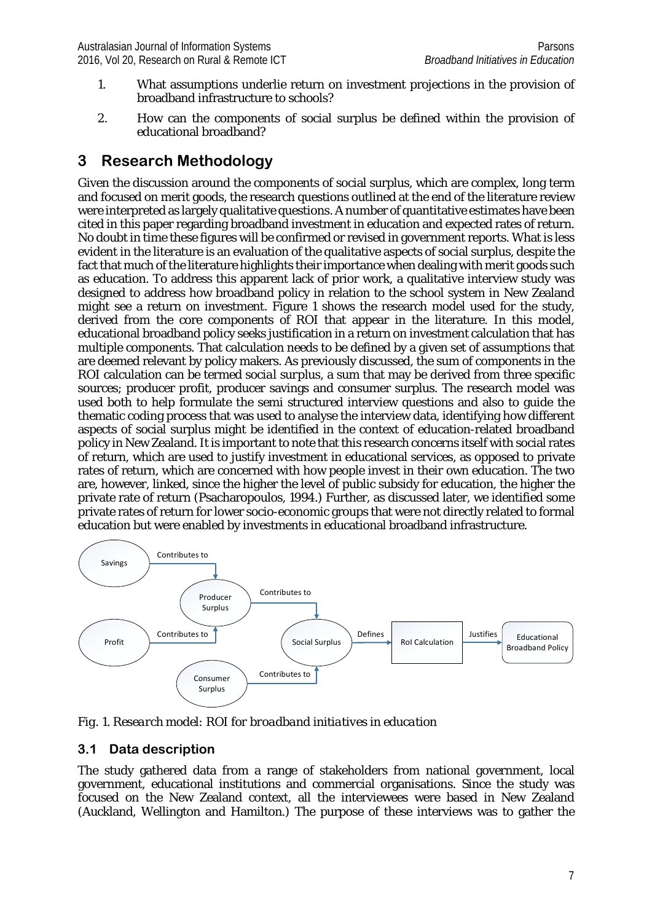- 1. What assumptions underlie return on investment projections in the provision of broadband infrastructure to schools?
- 2. How can the components of social surplus be defined within the provision of educational broadband?

## **3 Research Methodology**

Given the discussion around the components of social surplus, which are complex, long term and focused on merit goods, the research questions outlined at the end of the literature review were interpreted as largely qualitative questions. A number of quantitative estimates have been cited in this paper regarding broadband investment in education and expected rates of return. No doubt in time these figures will be confirmed or revised in government reports. What is less evident in the literature is an evaluation of the qualitative aspects of social surplus, despite the fact that much of the literature highlights their importance when dealing with merit goods such as education. To address this apparent lack of prior work, a qualitative interview study was designed to address how broadband policy in relation to the school system in New Zealand might see a return on investment. Figure 1 shows the research model used for the study, derived from the core components of ROI that appear in the literature. In this model, educational broadband policy seeks justification in a return on investment calculation that has multiple components. That calculation needs to be defined by a given set of assumptions that are deemed relevant by policy makers. As previously discussed, the sum of components in the ROI calculation can be termed *social surplus*, a sum that may be derived from three specific sources; producer profit, producer savings and consumer surplus. The research model was used both to help formulate the semi structured interview questions and also to guide the thematic coding process that was used to analyse the interview data, identifying how different aspects of social surplus might be identified in the context of education-related broadband policy in New Zealand. It is important to note that this research concerns itself with social rates of return, which are used to justify investment in educational services, as opposed to private rates of return, which are concerned with how people invest in their own education. The two are, however, linked, since the higher the level of public subsidy for education, the higher the private rate of return (Psacharopoulos, 1994.) Further, as discussed later, we identified some private rates of return for lower socio-economic groups that were not directly related to formal education but were enabled by investments in educational broadband infrastructure.



*Fig. 1. Research model: ROI for broadband initiatives in education*

## **3.1 Data description**

The study gathered data from a range of stakeholders from national government, local government, educational institutions and commercial organisations. Since the study was focused on the New Zealand context, all the interviewees were based in New Zealand (Auckland, Wellington and Hamilton.) The purpose of these interviews was to gather the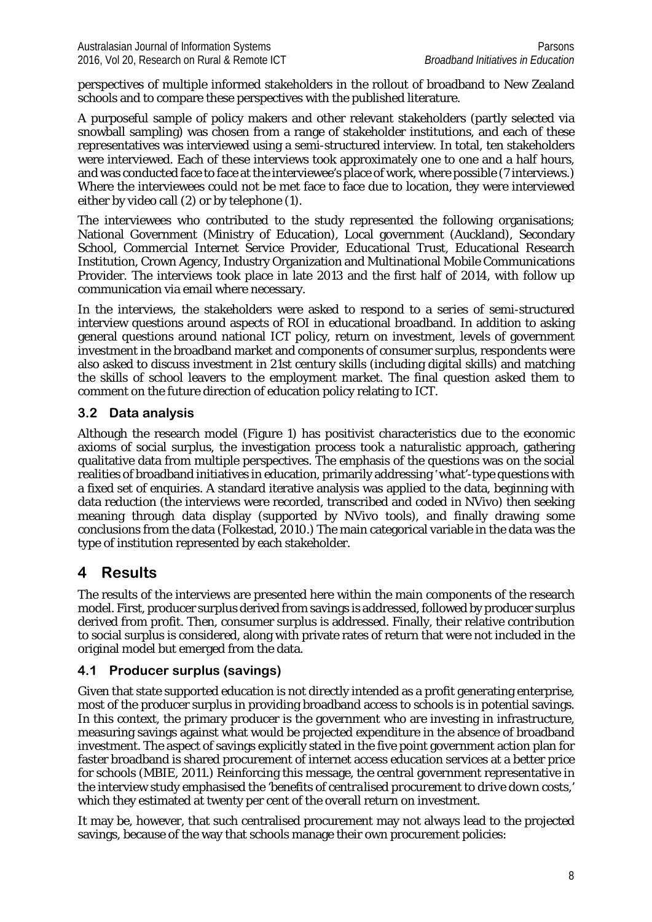perspectives of multiple informed stakeholders in the rollout of broadband to New Zealand schools and to compare these perspectives with the published literature.

A purposeful sample of policy makers and other relevant stakeholders (partly selected via snowball sampling) was chosen from a range of stakeholder institutions, and each of these representatives was interviewed using a semi-structured interview. In total, ten stakeholders were interviewed. Each of these interviews took approximately one to one and a half hours, and was conducted face to face at the interviewee's place of work, where possible (7 interviews.) Where the interviewees could not be met face to face due to location, they were interviewed either by video call (2) or by telephone (1).

The interviewees who contributed to the study represented the following organisations; National Government (Ministry of Education), Local government (Auckland), Secondary School, Commercial Internet Service Provider, Educational Trust, Educational Research Institution, Crown Agency, Industry Organization and Multinational Mobile Communications Provider. The interviews took place in late 2013 and the first half of 2014, with follow up communication via email where necessary.

In the interviews, the stakeholders were asked to respond to a series of semi-structured interview questions around aspects of ROI in educational broadband. In addition to asking general questions around national ICT policy, return on investment, levels of government investment in the broadband market and components of consumer surplus, respondents were also asked to discuss investment in 21st century skills (including digital skills) and matching the skills of school leavers to the employment market. The final question asked them to comment on the future direction of education policy relating to ICT.

## **3.2 Data analysis**

Although the research model (Figure 1) has positivist characteristics due to the economic axioms of social surplus, the investigation process took a naturalistic approach, gathering qualitative data from multiple perspectives. The emphasis of the questions was on the social realities of broadband initiatives in education, primarily addressing 'what'-type questions with a fixed set of enquiries. A standard iterative analysis was applied to the data, beginning with data reduction (the interviews were recorded, transcribed and coded in NVivo) then seeking meaning through data display (supported by NVivo tools), and finally drawing some conclusions from the data (Folkestad, 2010.) The main categorical variable in the data was the type of institution represented by each stakeholder.

## **4 Results**

The results of the interviews are presented here within the main components of the research model. First, producer surplus derived from savings is addressed, followed by producer surplus derived from profit. Then, consumer surplus is addressed. Finally, their relative contribution to social surplus is considered, along with private rates of return that were not included in the original model but emerged from the data.

## **4.1 Producer surplus (savings)**

Given that state supported education is not directly intended as a profit generating enterprise, most of the producer surplus in providing broadband access to schools is in potential savings. In this context, the primary producer is the government who are investing in infrastructure, measuring savings against what would be projected expenditure in the absence of broadband investment. The aspect of savings explicitly stated in the five point government action plan for faster broadband is shared procurement of internet access education services at a better price for schools (MBIE, 2011.) Reinforcing this message, the central government representative in the interview study emphasised the '*benefits of centralised procurement to drive down costs*,' which they estimated at twenty per cent of the overall return on investment.

It may be, however, that such centralised procurement may not always lead to the projected savings, because of the way that schools manage their own procurement policies: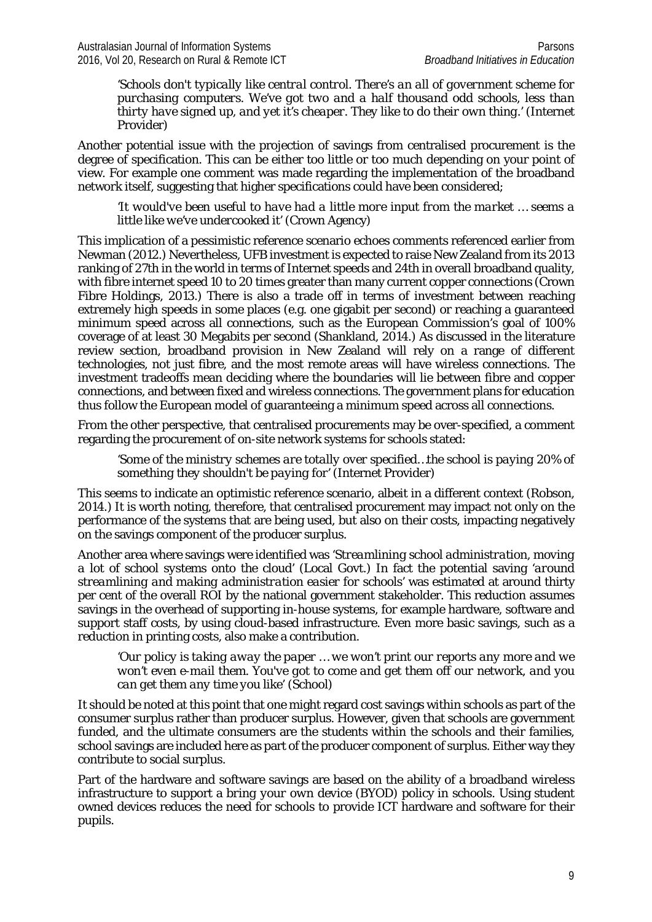*'Schools don't typically like central control. There's an all of government scheme for purchasing computers. We've got two and a half thousand odd schools, less than thirty have signed up, and yet it's cheaper. They like to do their own thing.'* (Internet Provider)

Another potential issue with the projection of savings from centralised procurement is the degree of specification. This can be either too little or too much depending on your point of view. For example one comment was made regarding the implementation of the broadband network itself, suggesting that higher specifications could have been considered;

*'It would've been useful to have had a little more input from the market … seems a little like we've undercooked it'* (Crown Agency)

This implication of a pessimistic reference scenario echoes comments referenced earlier from Newman (2012.) Nevertheless, UFB investment is expected to raise New Zealand from its 2013 ranking of 27th in the world in terms of Internet speeds and 24th in overall broadband quality, with fibre internet speed 10 to 20 times greater than many current copper connections (Crown Fibre Holdings, 2013.) There is also a trade off in terms of investment between reaching extremely high speeds in some places (e.g. one gigabit per second) or reaching a guaranteed minimum speed across all connections, such as the European Commission's goal of 100% coverage of at least 30 Megabits per second (Shankland, 2014.) As discussed in the literature review section, broadband provision in New Zealand will rely on a range of different technologies, not just fibre, and the most remote areas will have wireless connections. The investment tradeoffs mean deciding where the boundaries will lie between fibre and copper connections, and between fixed and wireless connections. The government plans for education thus follow the European model of guaranteeing a minimum speed across all connections.

From the other perspective, that centralised procurements may be over-specified, a comment regarding the procurement of on-site network systems for schools stated:

*'Some of the ministry schemes are totally over specified…the school is paying 20% of something they shouldn't be paying for'* (Internet Provider)

This seems to indicate an optimistic reference scenario, albeit in a different context (Robson, 2014.) It is worth noting, therefore, that centralised procurement may impact not only on the performance of the systems that are being used, but also on their costs, impacting negatively on the savings component of the producer surplus.

Another area where savings were identified was '*Streamlining school administration, moving a lot of school systems onto the cloud'* (Local Govt.) In fact the potential saving '*around streamlining and making administration easier for schools'* was estimated at around thirty per cent of the overall ROI by the national government stakeholder. This reduction assumes savings in the overhead of supporting in-house systems, for example hardware, software and support staff costs, by using cloud-based infrastructure. Even more basic savings, such as a reduction in printing costs, also make a contribution.

*'Our policy is taking away the paper … we won't print our reports any more and we won't even e-mail them. You've got to come and get them off our network, and you can get them any time you like*' (School)

It should be noted at this point that one might regard cost savings within schools as part of the consumer surplus rather than producer surplus. However, given that schools are government funded, and the ultimate consumers are the students within the schools and their families, school savings are included here as part of the producer component of surplus. Either way they contribute to social surplus.

Part of the hardware and software savings are based on the ability of a broadband wireless infrastructure to support a *bring your own device* (BYOD) policy in schools. Using student owned devices reduces the need for schools to provide ICT hardware and software for their pupils.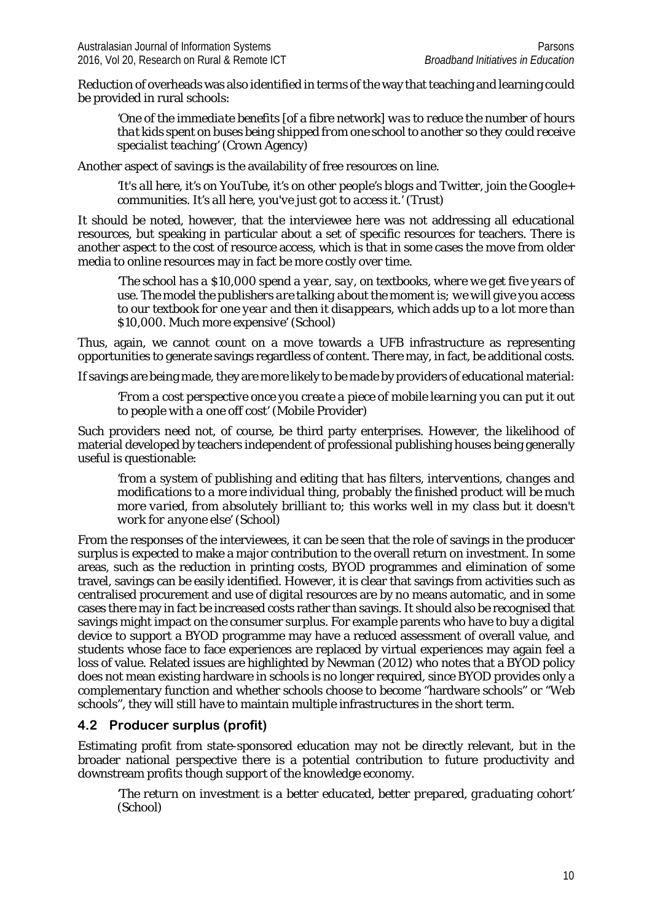Reduction of overheads was also identified in terms of the way that teaching and learning could be provided in rural schools:

*'One of the immediate benefits* [of a fibre network] *was to reduce the number of hours that kids spent on buses being shipped from one school to another so they could receive specialist teaching'* (Crown Agency)

Another aspect of savings is the availability of free resources on line.

*'It's all here, it's on YouTube, it's on other people's blogs and Twitter, join the Google+ communities. It's all here, you've just got to access it.'* (Trust)

It should be noted, however, that the interviewee here was not addressing all educational resources, but speaking in particular about a set of specific resources for teachers. There is another aspect to the cost of resource access, which is that in some cases the move from older media to online resources may in fact be more costly over time.

*'The school has a \$10,000 spend a year, say, on textbooks, where we get five years of use. The model the publishers are talking about the moment is; we will give you access to our textbook for one year and then it disappears, which adds up to a lot more than \$10,000. Much more expensive'* (School)

Thus, again, we cannot count on a move towards a UFB infrastructure as representing opportunities to generate savings regardless of content. There may, in fact, be additional costs.

If savings are being made, they are more likely to be made by providers of educational material:

*'From a cost perspective once you create a piece of mobile learning you can put it out to people with a one off cost'* (Mobile Provider)

Such providers need not, of course, be third party enterprises. However, the likelihood of material developed by teachers independent of professional publishing houses being generally useful is questionable:

*'from a system of publishing and editing that has filters, interventions, changes and modifications to a more individual thing, probably the finished product will be much more varied, from absolutely brilliant to; this works well in my class but it doesn't work for anyone else'* (School)

From the responses of the interviewees, it can be seen that the role of savings in the producer surplus is expected to make a major contribution to the overall return on investment. In some areas, such as the reduction in printing costs, BYOD programmes and elimination of some travel, savings can be easily identified. However, it is clear that savings from activities such as centralised procurement and use of digital resources are by no means automatic, and in some cases there may in fact be increased costs rather than savings. It should also be recognised that savings might impact on the consumer surplus. For example parents who have to buy a digital device to support a BYOD programme may have a reduced assessment of overall value, and students whose face to face experiences are replaced by virtual experiences may again feel a loss of value. Related issues are highlighted by Newman (2012) who notes that a BYOD policy does not mean existing hardware in schools is no longer required, since BYOD provides only a complementary function and whether schools choose to become "hardware schools" or "Web schools", they will still have to maintain multiple infrastructures in the short term.

### **4.2 Producer surplus (profit)**

Estimating profit from state-sponsored education may not be directly relevant, but in the broader national perspective there is a potential contribution to future productivity and downstream profits though support of the knowledge economy.

*'The return on investment is a better educated, better prepared, graduating cohort'*  (School)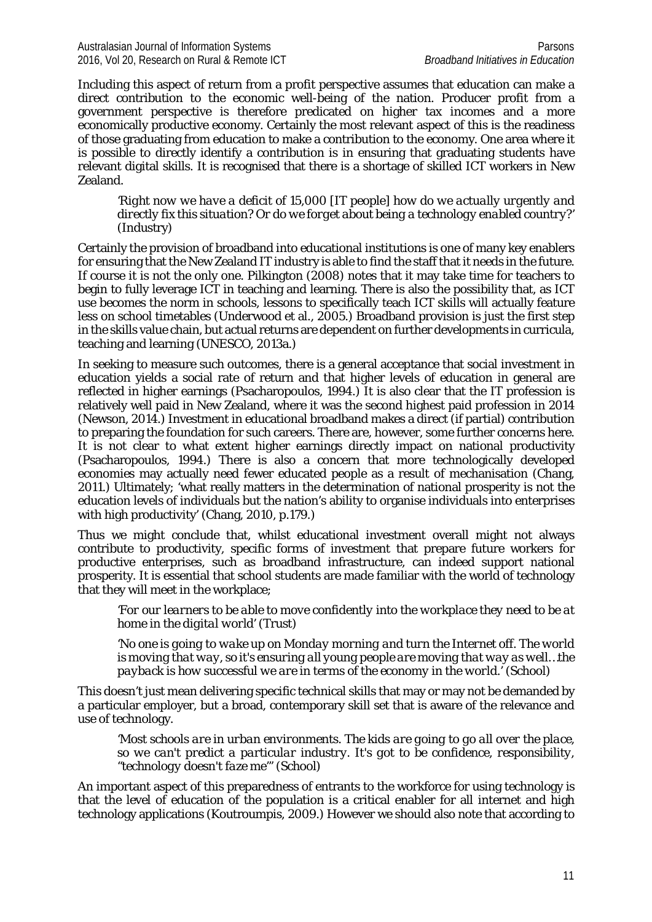Including this aspect of return from a profit perspective assumes that education can make a direct contribution to the economic well-being of the nation. Producer profit from a government perspective is therefore predicated on higher tax incomes and a more economically productive economy. Certainly the most relevant aspect of this is the readiness of those graduating from education to make a contribution to the economy. One area where it is possible to directly identify a contribution is in ensuring that graduating students have relevant digital skills. It is recognised that there is a shortage of skilled ICT workers in New Zealand.

*'Right now we have a deficit of 15,000 [IT people] how do we actually urgently and directly fix this situation? Or do we forget about being a technology enabled country?'*  (Industry)

Certainly the provision of broadband into educational institutions is one of many key enablers for ensuring that the New Zealand IT industry is able to find the staff that it needs in the future. If course it is not the only one. Pilkington (2008) notes that it may take time for teachers to begin to fully leverage ICT in teaching and learning. There is also the possibility that, as ICT use becomes the norm in schools, lessons to specifically teach ICT skills will actually feature less on school timetables (Underwood et al., 2005.) Broadband provision is just the first step in the skills value chain, but actual returns are dependent on further developments in curricula, teaching and learning (UNESCO, 2013a.)

In seeking to measure such outcomes, there is a general acceptance that social investment in education yields a social rate of return and that higher levels of education in general are reflected in higher earnings (Psacharopoulos, 1994.) It is also clear that the IT profession is relatively well paid in New Zealand, where it was the second highest paid profession in 2014 (Newson, 2014.) Investment in educational broadband makes a direct (if partial) contribution to preparing the foundation for such careers. There are, however, some further concerns here. It is not clear to what extent higher earnings directly impact on national productivity (Psacharopoulos, 1994.) There is also a concern that more technologically developed economies may actually need fewer educated people as a result of mechanisation (Chang, 2011.) Ultimately; 'what really matters in the determination of national prosperity is not the education levels of individuals but the nation's ability to organise individuals into enterprises with high productivity' (Chang, 2010, p.179.)

Thus we might conclude that, whilst educational investment overall might not always contribute to productivity, specific forms of investment that prepare future workers for productive enterprises, such as broadband infrastructure, can indeed support national prosperity. It is essential that school students are made familiar with the world of technology that they will meet in the workplace;

*'For our learners to be able to move confidently into the workplace they need to be at home in the digital world'* (Trust)

*'No one is going to wake up on Monday morning and turn the Internet off. The world is moving that way, so it's ensuring all young people are moving that way as well…the payback is how successful we are in terms of the economy in the world.'* (School)

This doesn't just mean delivering specific technical skills that may or may not be demanded by a particular employer, but a broad, contemporary skill set that is aware of the relevance and use of technology.

*'Most schools are in urban environments. The kids are going to go all over the place, so we can't predict a particular industry. It's got to be confidence, responsibility, "technology doesn't faze me"'* (School)

An important aspect of this preparedness of entrants to the workforce for using technology is that the level of education of the population is a critical enabler for all internet and high technology applications (Koutroumpis, 2009.) However we should also note that according to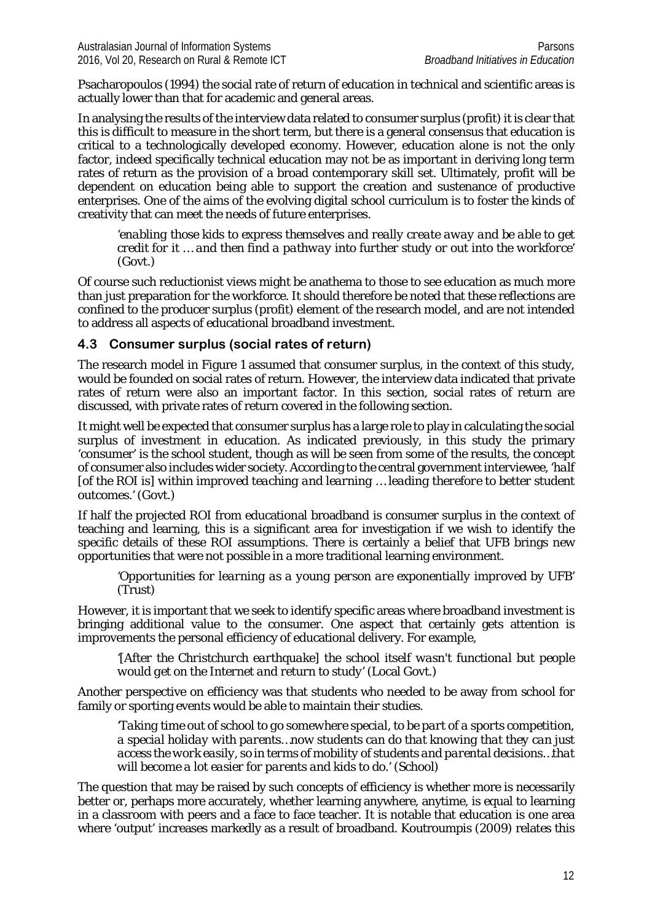Psacharopoulos (1994) the social rate of return of education in technical and scientific areas is actually lower than that for academic and general areas.

In analysing the results of the interview data related to consumer surplus (profit) it is clear that this is difficult to measure in the short term, but there is a general consensus that education is critical to a technologically developed economy. However, education alone is not the only factor, indeed specifically technical education may not be as important in deriving long term rates of return as the provision of a broad contemporary skill set. Ultimately, profit will be dependent on education being able to support the creation and sustenance of productive enterprises. One of the aims of the evolving digital school curriculum is to foster the kinds of creativity that can meet the needs of future enterprises.

*'enabling those kids to express themselves and really create away and be able to get credit for it … and then find a pathway into further study or out into the workforce'* (Govt.)

Of course such reductionist views might be anathema to those to see education as much more than just preparation for the workforce. It should therefore be noted that these reflections are confined to the producer surplus (profit) element of the research model, and are not intended to address all aspects of educational broadband investment.

#### **4.3 Consumer surplus (social rates of return)**

The research model in Figure 1 assumed that consumer surplus, in the context of this study, would be founded on social rates of return. However, the interview data indicated that private rates of return were also an important factor. In this section, social rates of return are discussed, with private rates of return covered in the following section.

It might well be expected that consumer surplus has a large role to play in calculating the social surplus of investment in education. As indicated previously, in this study the primary 'consumer' is the school student, though as will be seen from some of the results, the concept of consumer also includes wider society. According to the central government interviewee, '*half*  [of the ROI is] within improved teaching and learning ... leading therefore to better student *outcomes.'* (Govt.)

If half the projected ROI from educational broadband is consumer surplus in the context of teaching and learning, this is a significant area for investigation if we wish to identify the specific details of these ROI assumptions. There is certainly a belief that UFB brings new opportunities that were not possible in a more traditional learning environment.

*'Opportunities for learning as a young person are exponentially improved by UFB'* (Trust)

However, it is important that we seek to identify specific areas where broadband investment is bringing additional value to the consumer. One aspect that certainly gets attention is improvements the personal efficiency of educational delivery. For example,

*'[After the Christchurch earthquake] the school itself wasn't functional but people would get on the Internet and return to study'* (Local Govt.)

Another perspective on efficiency was that students who needed to be away from school for family or sporting events would be able to maintain their studies.

*'Taking time out of school to go somewhere special, to be part of a sports competition, a special holiday with parents…now students can do that knowing that they can just access the work easily, so in terms of mobility of students and parental decisions…that will become a lot easier for parents and kids to do.'* (School)

The question that may be raised by such concepts of efficiency is whether more is necessarily better or, perhaps more accurately, whether learning anywhere, anytime, is equal to learning in a classroom with peers and a face to face teacher. It is notable that education is one area where 'output' increases markedly as a result of broadband. Koutroumpis (2009) relates this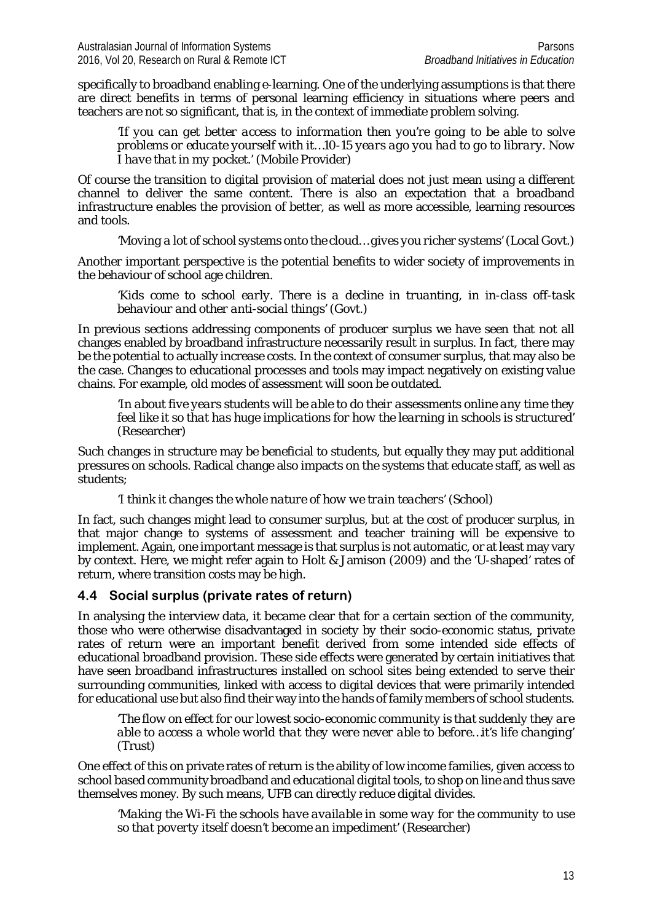specifically to broadband enabling e-learning. One of the underlying assumptions is that there are direct benefits in terms of personal learning efficiency in situations where peers and teachers are not so significant, that is, in the context of immediate problem solving.

*'If you can get better access to information then you're going to be able to solve problems or educate yourself with it…10-15 years ago you had to go to library. Now I have that in my pocket.'* (Mobile Provider)

Of course the transition to digital provision of material does not just mean using a different channel to deliver the same content. There is also an expectation that a broadband infrastructure enables the provision of better, as well as more accessible, learning resources and tools.

*'Moving a lot of school systems onto the cloud... gives you richer systems'* (Local Govt.)

Another important perspective is the potential benefits to wider society of improvements in the behaviour of school age children.

*'Kids come to school early. There is a decline in truanting, in in-class off-task behaviour and other anti-social things'* (Govt.)

In previous sections addressing components of producer surplus we have seen that not all changes enabled by broadband infrastructure necessarily result in surplus. In fact, there may be the potential to actually increase costs. In the context of consumer surplus, that may also be the case. Changes to educational processes and tools may impact negatively on existing value chains. For example, old modes of assessment will soon be outdated.

*'In about five years students will be able to do their assessments online any time they feel like it so that has huge implications for how the learning in schools is structured'* (Researcher)

Such changes in structure may be beneficial to students, but equally they may put additional pressures on schools. Radical change also impacts on the systems that educate staff, as well as students;

*'I think it changes the whole nature of how we train teachers'* (School)

In fact, such changes might lead to consumer surplus, but at the cost of producer surplus, in that major change to systems of assessment and teacher training will be expensive to implement. Again, one important message is that surplus is not automatic, or at least may vary by context. Here, we might refer again to Holt & Jamison (2009) and the 'U-shaped' rates of return, where transition costs may be high.

#### **4.4 Social surplus (private rates of return)**

In analysing the interview data, it became clear that for a certain section of the community, those who were otherwise disadvantaged in society by their socio-economic status, private rates of return were an important benefit derived from some intended side effects of educational broadband provision. These side effects were generated by certain initiatives that have seen broadband infrastructures installed on school sites being extended to serve their surrounding communities, linked with access to digital devices that were primarily intended for educational use but also find their way into the hands of family members of school students.

*'The flow on effect for our lowest socio-economic community is that suddenly they are able to access a whole world that they were never able to before…it's life changing'* (Trust)

One effect of this on private rates of return is the ability of low income families, given access to school based community broadband and educational digital tools, to shop on line and thus save themselves money. By such means, UFB can directly reduce digital divides.

*'Making the Wi-Fi the schools have available in some way for the community to use so that poverty itself doesn't become an impediment'* (Researcher)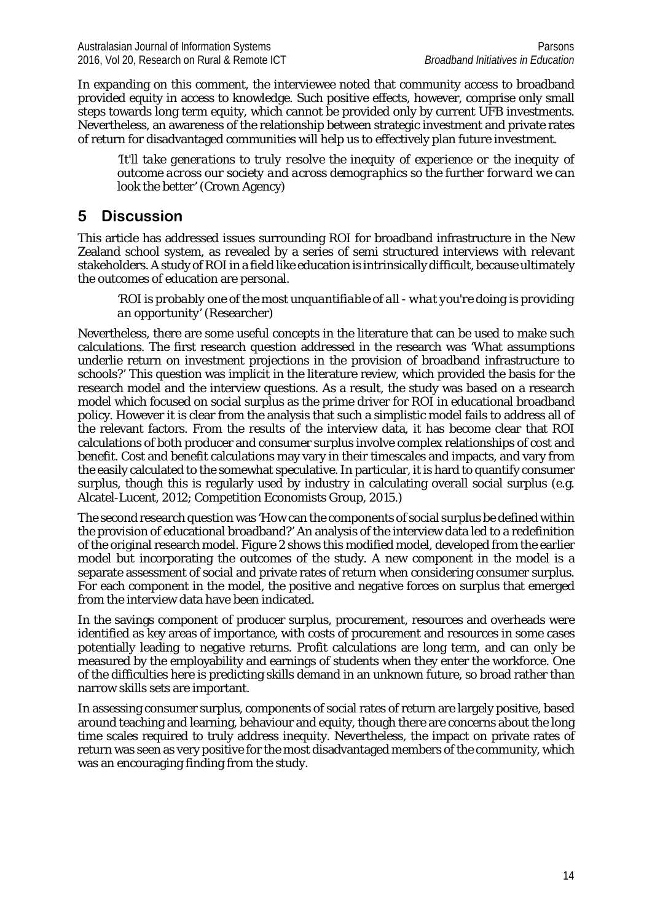In expanding on this comment, the interviewee noted that community access to broadband provided equity in access to knowledge. Such positive effects, however, comprise only small steps towards long term equity, which cannot be provided only by current UFB investments. Nevertheless, an awareness of the relationship between strategic investment and private rates of return for disadvantaged communities will help us to effectively plan future investment.

*'It'll take generations to truly resolve the inequity of experience or the inequity of outcome across our society and across demographics so the further forward we can look the better'* (Crown Agency)

## **5 Discussion**

This article has addressed issues surrounding ROI for broadband infrastructure in the New Zealand school system, as revealed by a series of semi structured interviews with relevant stakeholders. A study of ROI in a field like education is intrinsically difficult, because ultimately the outcomes of education are personal.

*'ROI is probably one of the most unquantifiable of all - what you're doing is providing an opportunity'* (Researcher)

Nevertheless, there are some useful concepts in the literature that can be used to make such calculations. The first research question addressed in the research was 'What assumptions underlie return on investment projections in the provision of broadband infrastructure to schools?' This question was implicit in the literature review, which provided the basis for the research model and the interview questions. As a result, the study was based on a research model which focused on social surplus as the prime driver for ROI in educational broadband policy. However it is clear from the analysis that such a simplistic model fails to address all of the relevant factors. From the results of the interview data, it has become clear that ROI calculations of both producer and consumer surplus involve complex relationships of cost and benefit. Cost and benefit calculations may vary in their timescales and impacts, and vary from the easily calculated to the somewhat speculative. In particular, it is hard to quantify consumer surplus, though this is regularly used by industry in calculating overall social surplus (e.g. Alcatel-Lucent, 2012; Competition Economists Group, 2015.)

The second research question was 'How can the components of social surplus be defined within the provision of educational broadband?' An analysis of the interview data led to a redefinition of the original research model. Figure 2 shows this modified model, developed from the earlier model but incorporating the outcomes of the study. A new component in the model is a separate assessment of social and private rates of return when considering consumer surplus. For each component in the model, the positive and negative forces on surplus that emerged from the interview data have been indicated.

In the savings component of producer surplus, procurement, resources and overheads were identified as key areas of importance, with costs of procurement and resources in some cases potentially leading to negative returns. Profit calculations are long term, and can only be measured by the employability and earnings of students when they enter the workforce. One of the difficulties here is predicting skills demand in an unknown future, so broad rather than narrow skills sets are important.

In assessing consumer surplus, components of social rates of return are largely positive, based around teaching and learning, behaviour and equity, though there are concerns about the long time scales required to truly address inequity. Nevertheless, the impact on private rates of return was seen as very positive for the most disadvantaged members of the community, which was an encouraging finding from the study.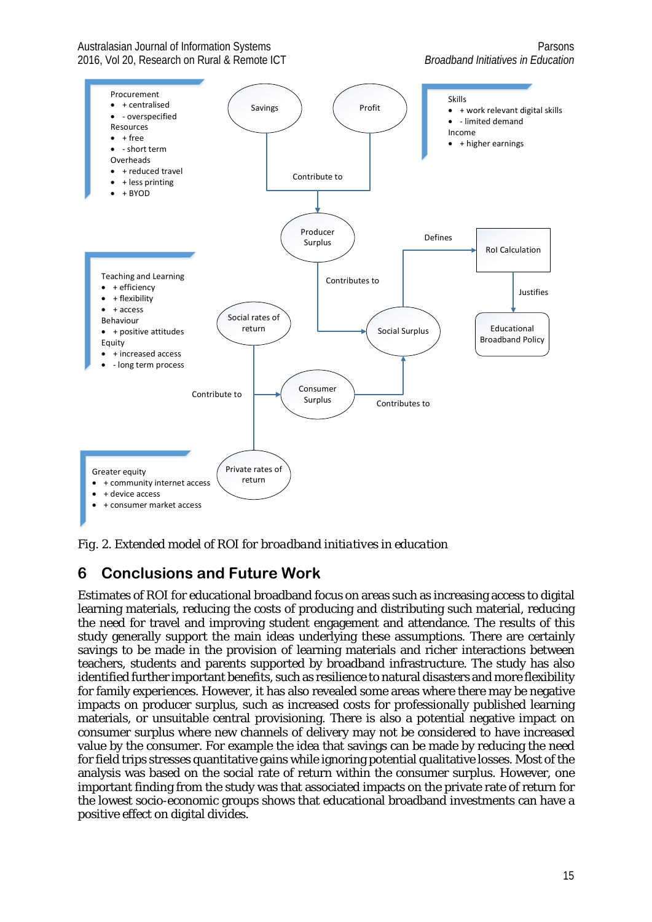Australasian Journal of Information Systems<br>2016 Vol 20 Research on Rural & Remote ICT Broadband Initiatives in Education 2016, Vol 20, Research on Rural & Remote ICT



*Fig. 2. Extended model of ROI for broadband initiatives in education*

## **6 Conclusions and Future Work**

Estimates of ROI for educational broadband focus on areas such as increasing access to digital learning materials, reducing the costs of producing and distributing such material, reducing the need for travel and improving student engagement and attendance. The results of this study generally support the main ideas underlying these assumptions. There are certainly savings to be made in the provision of learning materials and richer interactions between teachers, students and parents supported by broadband infrastructure. The study has also identified further important benefits, such as resilience to natural disasters and more flexibility for family experiences. However, it has also revealed some areas where there may be negative impacts on producer surplus, such as increased costs for professionally published learning materials, or unsuitable central provisioning. There is also a potential negative impact on consumer surplus where new channels of delivery may not be considered to have increased value by the consumer. For example the idea that savings can be made by reducing the need for field trips stresses quantitative gains while ignoring potential qualitative losses. Most of the analysis was based on the social rate of return within the consumer surplus. However, one important finding from the study was that associated impacts on the private rate of return for the lowest socio-economic groups shows that educational broadband investments can have a positive effect on digital divides.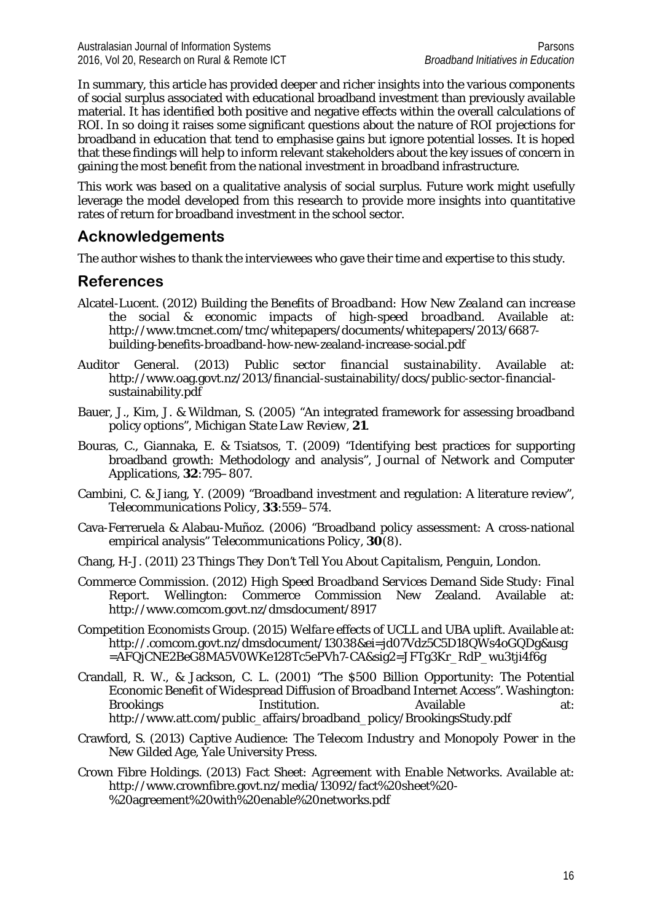In summary, this article has provided deeper and richer insights into the various components of social surplus associated with educational broadband investment than previously available material. It has identified both positive and negative effects within the overall calculations of ROI. In so doing it raises some significant questions about the nature of ROI projections for broadband in education that tend to emphasise gains but ignore potential losses. It is hoped that these findings will help to inform relevant stakeholders about the key issues of concern in gaining the most benefit from the national investment in broadband infrastructure.

This work was based on a qualitative analysis of social surplus. Future work might usefully leverage the model developed from this research to provide more insights into quantitative rates of return for broadband investment in the school sector.

## **Acknowledgements**

The author wishes to thank the interviewees who gave their time and expertise to this study.

## **References**

- Alcatel-Lucent. (2012) *Building the Benefits of Broadband: How New Zealand can increase the social & economic impacts of high-speed broadband*. Available at: http://www.tmcnet.com/tmc/whitepapers/documents/whitepapers/2013/6687 building-benefits-broadband-how-new-zealand-increase-social.pdf
- Auditor General. (2013) *Public sector financial sustainability*. Available at: http://www.oag.govt.nz/2013/financial-sustainability/docs/public-sector-financialsustainability.pdf
- Bauer, J., Kim, J. & Wildman, S. (2005) "An integrated framework for assessing broadband policy options", *Michigan State Law Review,* **21**.
- Bouras, C., Giannaka, E. & Tsiatsos, T. (2009) "Identifying best practices for supporting broadband growth: Methodology and analysis", *Journal of Network and Computer Applications,* **32**:795–807.
- Cambini, C. & Jiang, Y. (2009) "Broadband investment and regulation: A literature review", *Telecommunications Policy,* **33**:559–574.
- Cava-Ferreruela & Alabau-Muñoz. (2006) "Broadband policy assessment: A cross-national empirical analysis" *Telecommunications Policy,* **30**(8).
- Chang, H-J. (2011) *23 Things They Don't Tell You About Capitalism*, Penguin, London.
- Commerce Commission. (2012) *High Speed Broadband Services Demand Side Study: Final Report*. Wellington: Commerce Commission New Zealand. Available at: http://www.comcom.govt.nz/dmsdocument/8917
- Competition Economists Group. (2015) *Welfare effects of UCLL and UBA uplift*. Available at: http://.comcom.govt.nz/dmsdocument/13038&ei=jd07Vdz5C5D18QWs4oGQDg&usg =AFQjCNE2BeG8MA5V0WKe128Tc5ePVh7-CA&sig2=JFTg3Kr\_RdP\_wu3tji4f6g
- Crandall, R. W., & Jackson, C. L. (2001) "The \$500 Billion Opportunity: The Potential Economic Benefit of Widespread Diffusion of Broadband Internet Access". Washington: Brookings Institution. Available at: http://www.att.com/public\_affairs/broadband\_policy/BrookingsStudy.pdf
- Crawford, S. (2013) *Captive Audience: The Telecom Industry and Monopoly Power in the New Gilded Age*, Yale University Press.
- Crown Fibre Holdings. (2013) *Fact Sheet: Agreement with Enable Networks*. Available at: http://www.crownfibre.govt.nz/media/13092/fact%20sheet%20- %20agreement%20with%20enable%20networks.pdf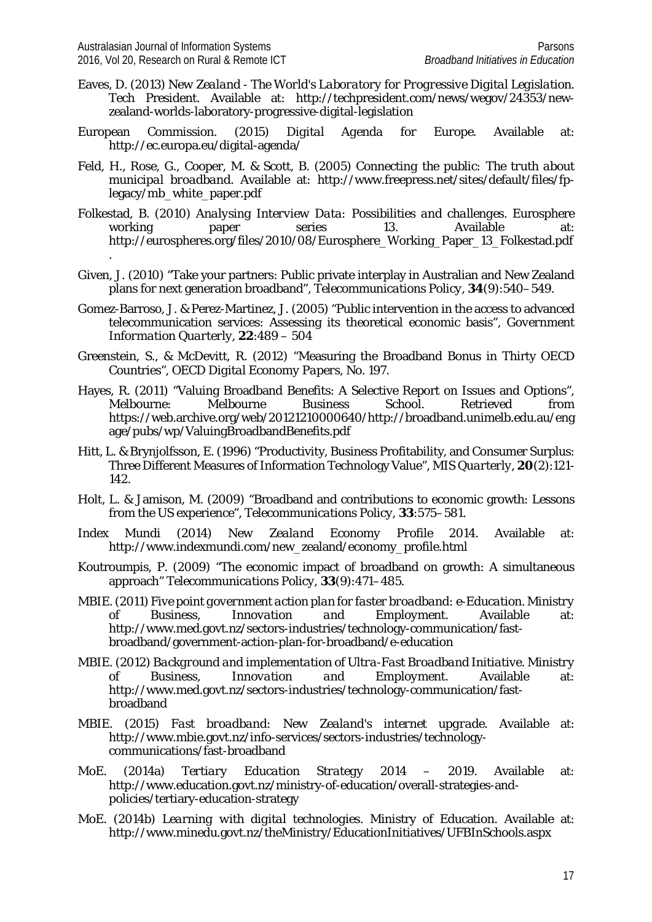.

- Eaves, D. (2013) *New Zealand - The World's Laboratory for Progressive Digital Legislation*. Tech President. Available at: http://techpresident.com/news/wegov/24353/newzealand-worlds-laboratory-progressive-digital-legislation
- European Commission. (2015) *Digital Agenda for Europe*. Available at: http://ec.europa.eu/digital-agenda/
- Feld, H., Rose, G., Cooper, M. & Scott, B. (2005) *Connecting the public: The truth about municipal broadband*. Available at: http://www.freepress.net/sites/default/files/fplegacy/mb\_white\_paper.pdf
- Folkestad, B. (2010) *Analysing Interview Data: Possibilities and challenges*. Eurosphere working paper series 13. Available at: http://eurospheres.org/files/2010/08/Eurosphere\_Working\_Paper\_13\_Folkestad.pdf
- Given, J. (2010) "Take your partners: Public private interplay in Australian and New Zealand plans for next generation broadband", *Telecommunications Policy,* **34**(9):540–549.
- Gomez-Barroso, J. & Perez-Martinez, J. (2005) "Public intervention in the access to advanced telecommunication services: Assessing its theoretical economic basis", *Government Information Quarterly*, **22**:489 – 504
- Greenstein, S., & McDevitt, R. (2012) "Measuring the Broadband Bonus in Thirty OECD Countries", *OECD Digital Economy Papers*, No. 197.
- Hayes, R. (2011) "Valuing Broadband Benefits: A Selective Report on Issues and Options", Melbourne: Melbourne Business School. Retrieved from https://web.archive.org/web/20121210000640/http://broadband.unimelb.edu.au/eng age/pubs/wp/ValuingBroadbandBenefits.pdf
- Hitt, L. & Brynjolfsson, E. (1996) "Productivity, Business Profitability, and Consumer Surplus: Three Different Measures of Information Technology Value", *MIS Quarterly,* **20**(2):121- 142.
- Holt, L. & Jamison, M. (2009) "Broadband and contributions to economic growth: Lessons from the US experience", *Telecommunications Policy,* **33**:575–581.
- Index Mundi (2014) *New Zealand Economy Profile 2014*. Available at: http://www.indexmundi.com/new\_zealand/economy\_profile.html
- Koutroumpis, P. (2009) "The economic impact of broadband on growth: A simultaneous approach" *Telecommunications Policy,* **33**(9):471–485.
- MBIE. (2011) *Five point government action plan for faster broadband: e-Education. Ministry of Business, Innovation and Employment*. Available at: http://www.med.govt.nz/sectors-industries/technology-communication/fastbroadband/government-action-plan-for-broadband/e-education
- MBIE. (2012) *Background and implementation of Ultra-Fast Broadband Initiative. Ministry of Business, Innovation and Employment*. Available at: http://www.med.govt.nz/sectors-industries/technology-communication/fastbroadband
- MBIE. (2015) *Fast broadband: New Zealand's internet upgrade*. Available at: http://www.mbie.govt.nz/info-services/sectors-industries/technologycommunications/fast-broadband
- MoE. (2014a) *Tertiary Education Strategy 2014 – 2019*. Available at: http://www.education.govt.nz/ministry-of-education/overall-strategies-andpolicies/tertiary-education-strategy
- MoE. (2014b) *Learning with digital technologies*. Ministry of Education. Available at: http://www.minedu.govt.nz/theMinistry/EducationInitiatives/UFBInSchools.aspx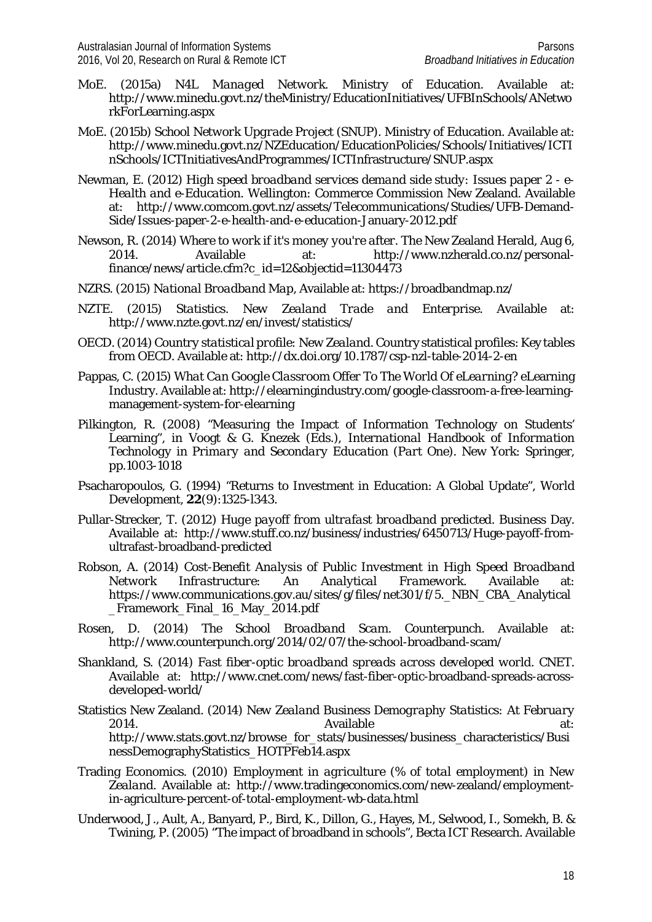- MoE. (2015a) *N4L Managed Network*. Ministry of Education. Available at: http://www.minedu.govt.nz/theMinistry/EducationInitiatives/UFBInSchools/ANetwo rkForLearning.aspx
- MoE. (2015b) *School Network Upgrade Project (SNUP)*. Ministry of Education. Available at: http://www.minedu.govt.nz/NZEducation/EducationPolicies/Schools/Initiatives/ICTI nSchools/ICTInitiativesAndProgrammes/ICTInfrastructure/SNUP.aspx
- Newman, E. (2012) *High speed broadband services demand side study: Issues paper 2 - e-Health and e-Education*. Wellington: Commerce Commission New Zealand. Available at: http://www.comcom.govt.nz/assets/Telecommunications/Studies/UFB-Demand-Side/Issues-paper-2-e-health-and-e-education-January-2012.pdf
- Newson, R. (2014) *Where to work if it's money you're after*. The New Zealand Herald, Aug 6, 2014. Available at: http://www.nzherald.co.nz/personalfinance/news/article.cfm?c\_id=12&objectid=11304473
- NZRS. (2015) *National Broadband Map*, Available at: https://broadbandmap.nz/
- NZTE. (2015) *Statistics. New Zealand Trade and Enterprise*. Available at: http://www.nzte.govt.nz/en/invest/statistics/
- OECD. (2014) *Country statistical profile: New Zealand*. Country statistical profiles: Key tables from OECD. Available at: http://dx.doi.org/10.1787/csp-nzl-table-2014-2-en
- Pappas, C. (2015) *What Can Google Classroom Offer To The World Of eLearning?* eLearning Industry. Available at: http://elearningindustry.com/google-classroom-a-free-learningmanagement-system-for-elearning
- Pilkington, R. (2008) "Measuring the Impact of Information Technology on Students' Learning", in Voogt & G. Knezek (Eds.), *International Handbook of Information Technology in Primary and Secondary Education (Part One)*. New York: Springer, pp.1003-1018
- Psacharopoulos, G. (1994) "Returns to Investment in Education: A Global Update", *World Development,* **22**(9):1325-l343.
- Pullar-Strecker, T. (2012) *Huge payoff from ultrafast broadband predicted*. Business Day. Available at: http://www.stuff.co.nz/business/industries/6450713/Huge-payoff-fromultrafast-broadband-predicted
- Robson, A. (2014) *Cost-Benefit Analysis of Public Investment in High Speed Broadband Network Infrastructure: An Analytical Framework*. Available at: https://www.communications.gov.au/sites/g/files/net301/f/5. NBN CBA Analytical \_Framework\_Final\_16\_May\_2014.pdf
- Rosen, D. (2014) *The School Broadband Scam*. Counterpunch. Available at: http://www.counterpunch.org/2014/02/07/the-school-broadband-scam/
- Shankland, S. (2014) *Fast fiber-optic broadband spreads across developed world*. CNET. Available at: http://www.cnet.com/news/fast-fiber-optic-broadband-spreads-acrossdeveloped-world/
- Statistics New Zealand. (2014) *New Zealand Business Demography Statistics: At February 2014*. Available at: http://www.stats.govt.nz/browse\_for\_stats/businesses/business\_characteristics/Busi nessDemographyStatistics\_HOTPFeb14.aspx
- Trading Economics. (2010) *Employment in agriculture (% of total employment) in New Zealand*. Available at: http://www.tradingeconomics.com/new-zealand/employmentin-agriculture-percent-of-total-employment-wb-data.html
- Underwood, J., Ault, A., Banyard, P., Bird, K., Dillon, G., Hayes, M., Selwood, I., Somekh, B. & Twining, P. (2005) "The impact of broadband in schools", Becta ICT Research. Available